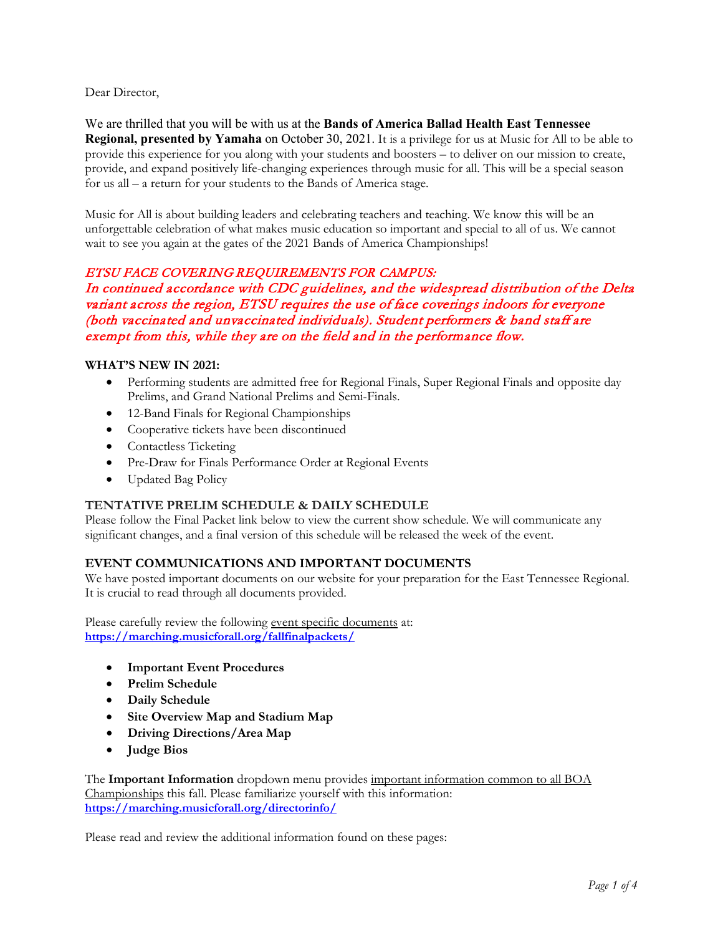Dear Director,

We are thrilled that you will be with us at the **Bands of America Ballad Health East Tennessee Regional, presented by Yamaha** on October 30, 2021. It is a privilege for us at Music for All to be able to provide this experience for you along with your students and boosters – to deliver on our mission to create, provide, and expand positively life-changing experiences through music for all. This will be a special season for us all – a return for your students to the Bands of America stage.

Music for All is about building leaders and celebrating teachers and teaching. We know this will be an unforgettable celebration of what makes music education so important and special to all of us. We cannot wait to see you again at the gates of the 2021 Bands of America Championships!

# ETSU FACE COVERING REQUIREMENTS FOR CAMPUS:

In continued accordance with CDC guidelines, and the widespread distribution of the Delta variant across the region, ETSU requires the use of face coverings indoors for everyone (both vaccinated and unvaccinated individuals). Student performers & band staff are exempt from this, while they are on the field and in the performance flow.

#### **WHAT'S NEW IN 2021:**

- Performing students are admitted free for Regional Finals, Super Regional Finals and opposite day Prelims, and Grand National Prelims and Semi-Finals.
- 12-Band Finals for Regional Championships
- Cooperative tickets have been discontinued
- Contactless Ticketing
- Pre-Draw for Finals Performance Order at Regional Events
- Updated Bag Policy

## **TENTATIVE PRELIM SCHEDULE & DAILY SCHEDULE**

Please follow the Final Packet link below to view the current show schedule. We will communicate any significant changes, and a final version of this schedule will be released the week of the event.

## **EVENT COMMUNICATIONS AND IMPORTANT DOCUMENTS**

We have posted important documents on our website for your preparation for the East Tennessee Regional. It is crucial to read through all documents provided.

Please carefully review the following event specific documents at: **<https://marching.musicforall.org/fallfinalpackets/>**

- **Important Event Procedures**
- **Prelim Schedule**
- **Daily Schedule**
- **Site Overview Map and Stadium Map**
- **Driving Directions/Area Map**
- **Judge Bios**

The **Important Information** dropdown menu provides important information common to all BOA Championships this fall. Please familiarize yourself with this information: **<https://marching.musicforall.org/directorinfo/>**

Please read and review the additional information found on these pages: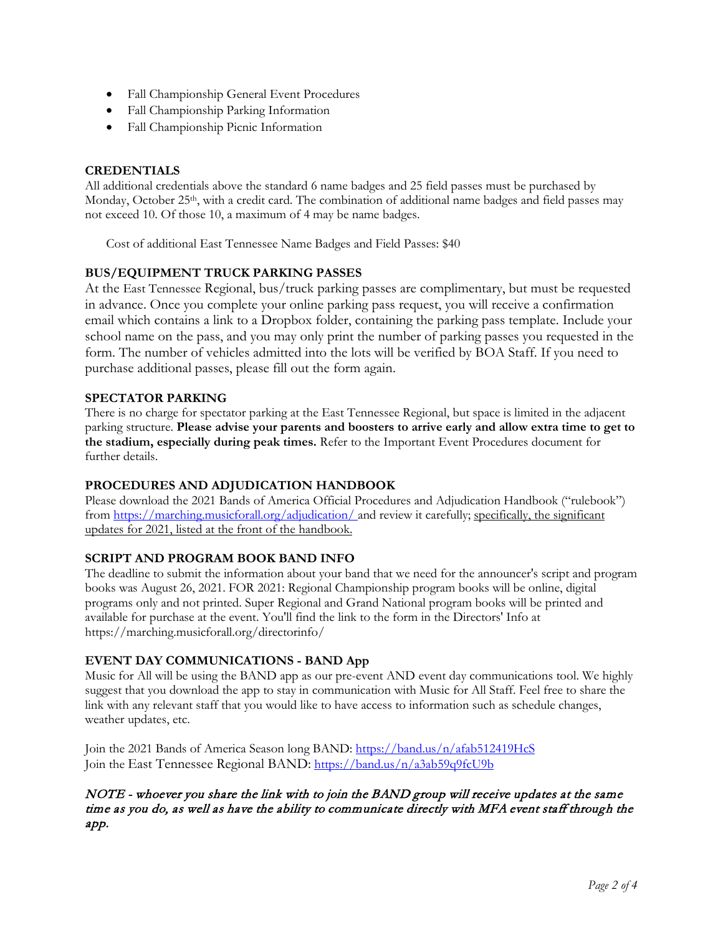- Fall Championship General Event Procedures
- Fall Championship Parking Information
- Fall Championship Picnic Information

## **CREDENTIALS**

All additional credentials above the standard 6 name badges and 25 field passes must be purchased by Monday, October 25<sup>th</sup>, with a credit card. The combination of additional name badges and field passes may not exceed 10. Of those 10, a maximum of 4 may be name badges.

Cost of additional East Tennessee Name Badges and Field Passes: \$40

# **BUS/EQUIPMENT TRUCK PARKING PASSES**

At the East Tennessee Regional, bus/truck parking passes are complimentary, but must be requested in advance. Once you complete your online parking pass request, you will receive a confirmation email which contains a link to a Dropbox folder, containing the parking pass template. Include your school name on the pass, and you may only print the number of parking passes you requested in the form. The number of vehicles admitted into the lots will be verified by BOA Staff. If you need to purchase additional passes, please fill out the form again.

#### **SPECTATOR PARKING**

There is no charge for spectator parking at the East Tennessee Regional, but space is limited in the adjacent parking structure. **Please advise your parents and boosters to arrive early and allow extra time to get to the stadium, especially during peak times.** Refer to the Important Event Procedures document for further details.

## **PROCEDURES AND ADJUDICATION HANDBOOK**

Please download the 2021 Bands of America Official Procedures and Adjudication Handbook ("rulebook") from<https://marching.musicforall.org/adjudication/> and review it carefully; specifically, the significant updates for 2021, listed at the front of the handbook.

## **SCRIPT AND PROGRAM BOOK BAND INFO**

The deadline to submit the information about your band that we need for the announcer's script and program books was August 26, 2021. FOR 2021: Regional Championship program books will be online, digital programs only and not printed. Super Regional and Grand National program books will be printed and available for purchase at the event. You'll find the link to the form in the Directors' Info at https://marching.musicforall.org/directorinfo/

## **EVENT DAY COMMUNICATIONS - BAND App**

Music for All will be using the BAND app as our pre-event AND event day communications tool. We highly suggest that you download the app to stay in communication with Music for All Staff. Feel free to share the link with any relevant staff that you would like to have access to information such as schedule changes, weather updates, etc.

Join the 2021 Bands of America Season long BAND:<https://band.us/n/afab512419HcS> Join the East Tennessee Regional BAND: <https://band.us/n/a3ab59q9fcU9b>

## NOTE - whoever you share the link with to join the BAND group will receive updates at the same time as you do, as well as have the ability to communicate directly with MFA event staff through the app.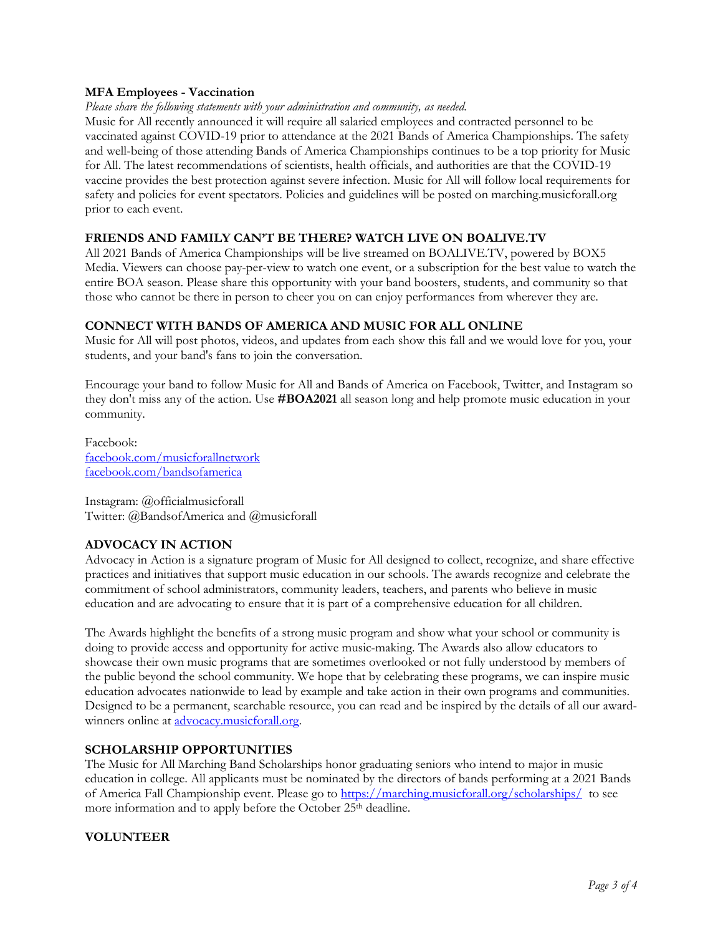#### **MFA Employees - Vaccination**

*Please share the following statements with your administration and community, as needed.*

Music for All recently announced it will require all salaried employees and contracted personnel to be vaccinated against COVID-19 prior to attendance at the 2021 Bands of America Championships. The safety and well-being of those attending Bands of America Championships continues to be a top priority for Music for All. The latest recommendations of scientists, health officials, and authorities are that the COVID-19 vaccine provides the best protection against severe infection. Music for All will follow local requirements for safety and policies for event spectators. Policies and guidelines will be posted on marching.musicforall.org prior to each event.

#### **FRIENDS AND FAMILY CAN'T BE THERE? WATCH LIVE ON BOALIVE.TV**

All 2021 Bands of America Championships will be live streamed on [BOALIVE.TV,](https://boalive.tv/) powered by BOX5 Media. Viewers can choose pay-per-view to watch one event, or a subscription for the best value to watch the entire BOA season. Please share this opportunity with your band boosters, students, and community so that those who cannot be there in person to cheer you on can enjoy performances from wherever they are.

#### **CONNECT WITH BANDS OF AMERICA AND MUSIC FOR ALL ONLINE**

Music for All will post photos, videos, and updates from each show this fall and we would love for you, your students, and your band's fans to join the conversation.

Encourage your band to follow Music for All and Bands of America on Facebook, Twitter, and Instagram so they don't miss any of the action. Use **#BOA2021** all season long and help promote music education in your community.

Facebook: [facebook.com/musicforallnetwork](http://www.facebook.com/musicforallnetwork) [facebook.com/bandsofamerica](http://www.facebook.com/bandsofamerica)

Instagram: @officialmusicforall Twitter: @BandsofAmerica and @musicforall

## **ADVOCACY IN ACTION**

Advocacy in Action is a signature program of Music for All designed to collect, recognize, and share effective practices and initiatives that support music education in our schools. The awards recognize and celebrate the commitment of school administrators, community leaders, teachers, and parents who believe in music education and are advocating to ensure that it is part of a comprehensive education for all children.

The Awards highlight the benefits of a strong music program and show what your school or community is doing to provide access and opportunity for active music-making. The Awards also allow educators to showcase their own music programs that are sometimes overlooked or not fully understood by members of the public beyond the school community. We hope that by celebrating these programs, we can inspire music education advocates nationwide to lead by example and take action in their own programs and communities. Designed to be a permanent, searchable resource, you can read and be inspired by the details of all our awardwinners online at **advocacy**.musicforall.org.

#### **SCHOLARSHIP OPPORTUNITIES**

The Music for All Marching Band Scholarships honor graduating seniors who intend to major in music education in college. All applicants must be nominated by the directors of bands performing at a 2021 Bands of America Fall Championship event. Please go to<https://marching.musicforall.org/scholarships/>to see more information and to apply before the October 25<sup>th</sup> deadline.

# **VOLUNTEER**